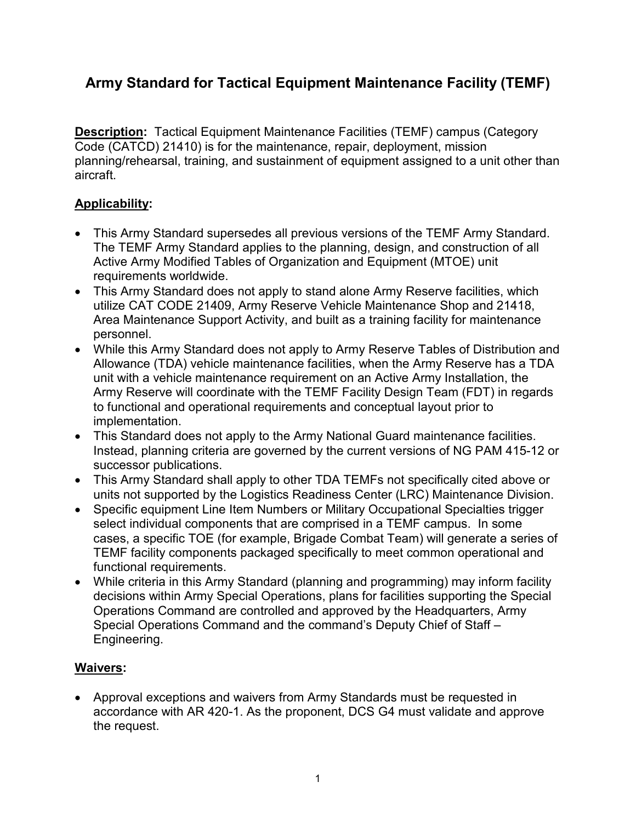# **Army Standard for Tactical Equipment Maintenance Facility (TEMF)**

**Description:** Tactical Equipment Maintenance Facilities (TEMF) campus (Category Code (CATCD) 21410) is for the maintenance, repair, deployment, mission planning/rehearsal, training, and sustainment of equipment assigned to a unit other than aircraft.

## **Applicability:**

- This Army Standard supersedes all previous versions of the TEMF Army Standard. The TEMF Army Standard applies to the planning, design, and construction of all Active Army Modified Tables of Organization and Equipment (MTOE) unit requirements worldwide.
- This Army Standard does not apply to stand alone Army Reserve facilities, which utilize CAT CODE 21409, Army Reserve Vehicle Maintenance Shop and 21418, Area Maintenance Support Activity, and built as a training facility for maintenance personnel.
- While this Army Standard does not apply to Army Reserve Tables of Distribution and Allowance (TDA) vehicle maintenance facilities, when the Army Reserve has a TDA unit with a vehicle maintenance requirement on an Active Army Installation, the Army Reserve will coordinate with the TEMF Facility Design Team (FDT) in regards to functional and operational requirements and conceptual layout prior to implementation.
- This Standard does not apply to the Army National Guard maintenance facilities. Instead, planning criteria are governed by the current versions of NG PAM 415-12 or successor publications.
- This Army Standard shall apply to other TDA TEMFs not specifically cited above or units not supported by the Logistics Readiness Center (LRC) Maintenance Division.
- Specific equipment Line Item Numbers or Military Occupational Specialties trigger select individual components that are comprised in a TEMF campus. In some cases, a specific TOE (for example, Brigade Combat Team) will generate a series of TEMF facility components packaged specifically to meet common operational and functional requirements.
- While criteria in this Army Standard (planning and programming) may inform facility decisions within Army Special Operations, plans for facilities supporting the Special Operations Command are controlled and approved by the Headquarters, Army Special Operations Command and the command's Deputy Chief of Staff – Engineering.

#### **Waivers:**

• Approval exceptions and waivers from Army Standards must be requested in accordance with AR 420-1. As the proponent, DCS G4 must validate and approve the request.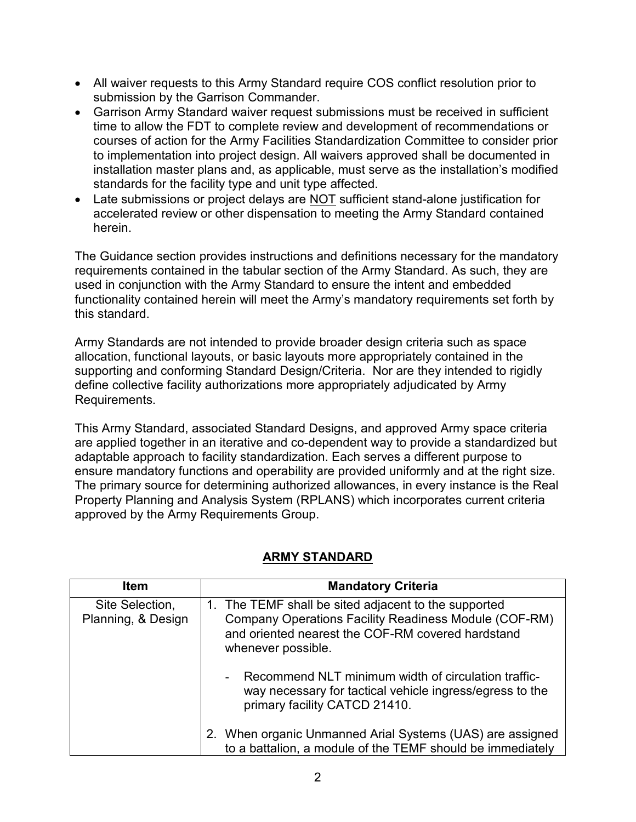- All waiver requests to this Army Standard require COS conflict resolution prior to submission by the Garrison Commander.
- Garrison Army Standard waiver request submissions must be received in sufficient time to allow the FDT to complete review and development of recommendations or courses of action for the Army Facilities Standardization Committee to consider prior to implementation into project design. All waivers approved shall be documented in installation master plans and, as applicable, must serve as the installation's modified standards for the facility type and unit type affected.
- Late submissions or project delays are NOT sufficient stand-alone justification for accelerated review or other dispensation to meeting the Army Standard contained herein.

The Guidance section provides instructions and definitions necessary for the mandatory requirements contained in the tabular section of the Army Standard. As such, they are used in conjunction with the Army Standard to ensure the intent and embedded functionality contained herein will meet the Army's mandatory requirements set forth by this standard.

Army Standards are not intended to provide broader design criteria such as space allocation, functional layouts, or basic layouts more appropriately contained in the supporting and conforming Standard Design/Criteria. Nor are they intended to rigidly define collective facility authorizations more appropriately adjudicated by Army Requirements.

This Army Standard, associated Standard Designs, and approved Army space criteria are applied together in an iterative and co-dependent way to provide a standardized but adaptable approach to facility standardization. Each serves a different purpose to ensure mandatory functions and operability are provided uniformly and at the right size. The primary source for determining authorized allowances, in every instance is the Real Property Planning and Analysis System (RPLANS) which incorporates current criteria approved by the Army Requirements Group.

| <b>Item</b>                           | <b>Mandatory Criteria</b>                                                                                                                                                                       |
|---------------------------------------|-------------------------------------------------------------------------------------------------------------------------------------------------------------------------------------------------|
| Site Selection,<br>Planning, & Design | 1. The TEMF shall be sited adjacent to the supported<br><b>Company Operations Facility Readiness Module (COF-RM)</b><br>and oriented nearest the COF-RM covered hardstand<br>whenever possible. |
|                                       | Recommend NLT minimum width of circulation traffic-<br>way necessary for tactical vehicle ingress/egress to the<br>primary facility CATCD 21410.                                                |
|                                       | 2. When organic Unmanned Arial Systems (UAS) are assigned<br>to a battalion, a module of the TEMF should be immediately                                                                         |

## **ARMY STANDARD**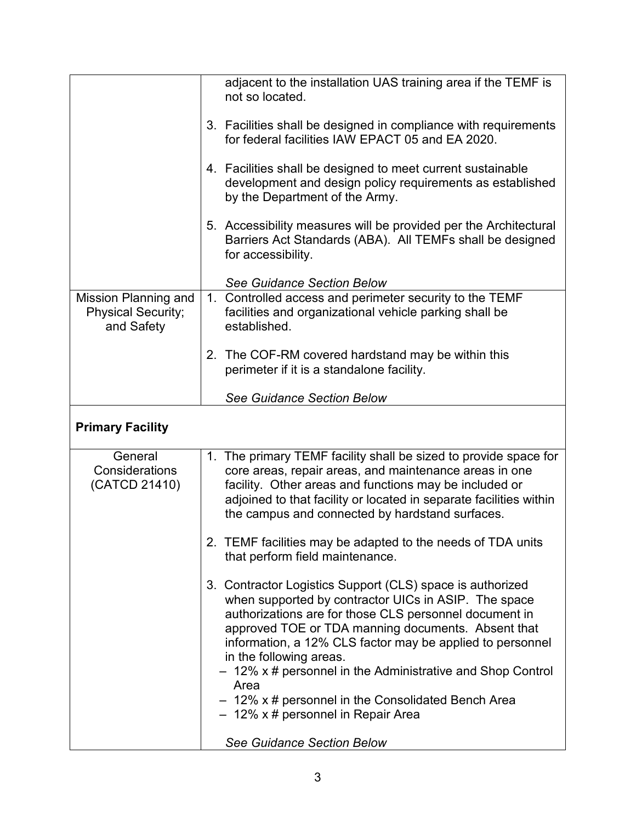|                                                                        | adjacent to the installation UAS training area if the TEMF is<br>not so located.                                                                                                                                                                                                                                                                                                                                                                                                                |
|------------------------------------------------------------------------|-------------------------------------------------------------------------------------------------------------------------------------------------------------------------------------------------------------------------------------------------------------------------------------------------------------------------------------------------------------------------------------------------------------------------------------------------------------------------------------------------|
|                                                                        | 3. Facilities shall be designed in compliance with requirements<br>for federal facilities IAW EPACT 05 and EA 2020.                                                                                                                                                                                                                                                                                                                                                                             |
|                                                                        | 4. Facilities shall be designed to meet current sustainable<br>development and design policy requirements as established<br>by the Department of the Army.                                                                                                                                                                                                                                                                                                                                      |
|                                                                        | 5. Accessibility measures will be provided per the Architectural<br>Barriers Act Standards (ABA). All TEMFs shall be designed<br>for accessibility.                                                                                                                                                                                                                                                                                                                                             |
|                                                                        | <b>See Guidance Section Below</b>                                                                                                                                                                                                                                                                                                                                                                                                                                                               |
| <b>Mission Planning and</b><br><b>Physical Security;</b><br>and Safety | 1. Controlled access and perimeter security to the TEMF<br>facilities and organizational vehicle parking shall be<br>established.                                                                                                                                                                                                                                                                                                                                                               |
|                                                                        | 2. The COF-RM covered hardstand may be within this<br>perimeter if it is a standalone facility.                                                                                                                                                                                                                                                                                                                                                                                                 |
|                                                                        | <b>See Guidance Section Below</b>                                                                                                                                                                                                                                                                                                                                                                                                                                                               |
| <b>Primary Facility</b>                                                |                                                                                                                                                                                                                                                                                                                                                                                                                                                                                                 |
| General<br>Considerations<br>(CATCD 21410)                             | 1. The primary TEMF facility shall be sized to provide space for<br>core areas, repair areas, and maintenance areas in one<br>facility. Other areas and functions may be included or<br>adjoined to that facility or located in separate facilities within<br>the campus and connected by hardstand surfaces.                                                                                                                                                                                   |
|                                                                        | 2. TEMF facilities may be adapted to the needs of TDA units<br>that perform field maintenance.                                                                                                                                                                                                                                                                                                                                                                                                  |
|                                                                        | 3. Contractor Logistics Support (CLS) space is authorized<br>when supported by contractor UICs in ASIP. The space<br>authorizations are for those CLS personnel document in<br>approved TOE or TDA manning documents. Absent that<br>information, a 12% CLS factor may be applied to personnel<br>in the following areas.<br>- 12% x # personnel in the Administrative and Shop Control<br>Area<br>$-12\%$ x # personnel in the Consolidated Bench Area<br>$-12\%$ x # personnel in Repair Area |
|                                                                        | <b>See Guidance Section Below</b>                                                                                                                                                                                                                                                                                                                                                                                                                                                               |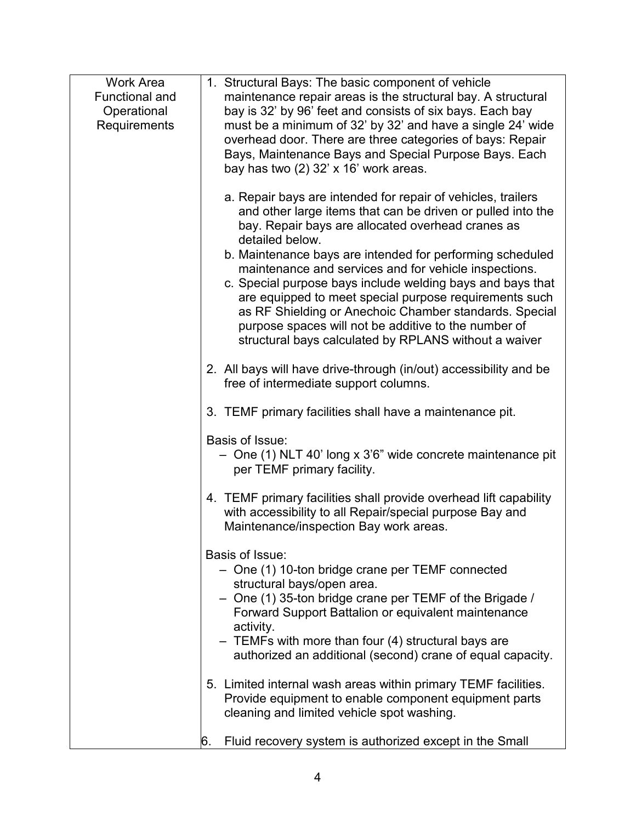| <b>Work Area</b>      | 1. Structural Bays: The basic component of vehicle                |
|-----------------------|-------------------------------------------------------------------|
| <b>Functional and</b> | maintenance repair areas is the structural bay. A structural      |
| Operational           | bay is 32' by 96' feet and consists of six bays. Each bay         |
| Requirements          | must be a minimum of 32' by 32' and have a single 24' wide        |
|                       | overhead door. There are three categories of bays: Repair         |
|                       | Bays, Maintenance Bays and Special Purpose Bays. Each             |
|                       | bay has two $(2)$ 32' x 16' work areas.                           |
|                       |                                                                   |
|                       | a. Repair bays are intended for repair of vehicles, trailers      |
|                       | and other large items that can be driven or pulled into the       |
|                       | bay. Repair bays are allocated overhead cranes as                 |
|                       | detailed below.                                                   |
|                       | b. Maintenance bays are intended for performing scheduled         |
|                       | maintenance and services and for vehicle inspections.             |
|                       | c. Special purpose bays include welding bays and bays that        |
|                       | are equipped to meet special purpose requirements such            |
|                       | as RF Shielding or Anechoic Chamber standards. Special            |
|                       | purpose spaces will not be additive to the number of              |
|                       | structural bays calculated by RPLANS without a waiver             |
|                       |                                                                   |
|                       | 2. All bays will have drive-through (in/out) accessibility and be |
|                       | free of intermediate support columns.                             |
|                       |                                                                   |
|                       | 3. TEMF primary facilities shall have a maintenance pit.          |
|                       |                                                                   |
|                       | Basis of Issue:                                                   |
|                       | - One (1) NLT 40' long x 3'6" wide concrete maintenance pit       |
|                       | per TEMF primary facility.                                        |
|                       |                                                                   |
|                       | 4. TEMF primary facilities shall provide overhead lift capability |
|                       | with accessibility to all Repair/special purpose Bay and          |
|                       | Maintenance/inspection Bay work areas.                            |
|                       |                                                                   |
|                       | Basis of Issue:                                                   |
|                       | - One (1) 10-ton bridge crane per TEMF connected                  |
|                       | structural bays/open area.                                        |
|                       | - One (1) 35-ton bridge crane per TEMF of the Brigade /           |
|                       | Forward Support Battalion or equivalent maintenance               |
|                       | activity.                                                         |
|                       | - TEMFs with more than four (4) structural bays are               |
|                       | authorized an additional (second) crane of equal capacity.        |
|                       |                                                                   |
|                       | 5. Limited internal wash areas within primary TEMF facilities.    |
|                       | Provide equipment to enable component equipment parts             |
|                       | cleaning and limited vehicle spot washing.                        |
|                       |                                                                   |
|                       | Fluid recovery system is authorized except in the Small<br>6.     |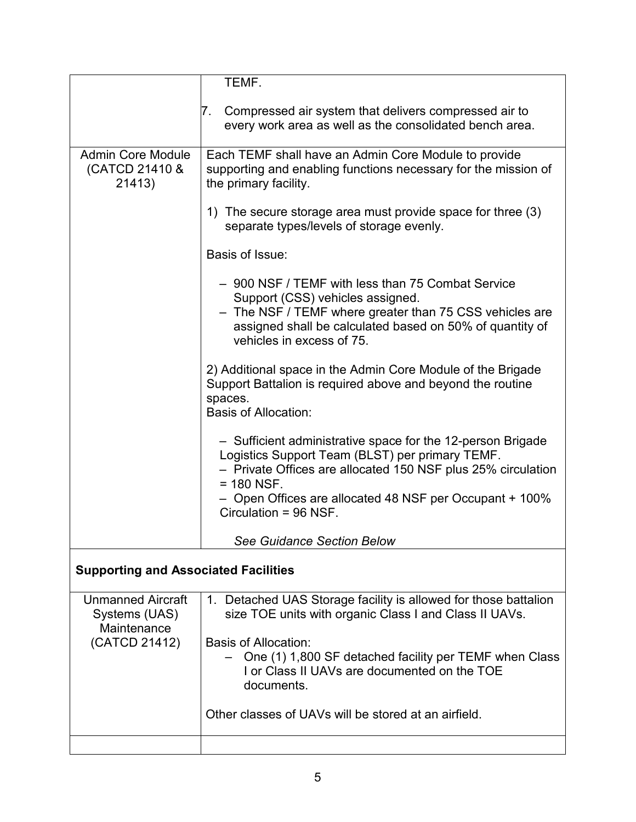|                                                                           | TEMF.                                                                                                                                                                                                                                                                              |  |
|---------------------------------------------------------------------------|------------------------------------------------------------------------------------------------------------------------------------------------------------------------------------------------------------------------------------------------------------------------------------|--|
|                                                                           | Compressed air system that delivers compressed air to<br>7.<br>every work area as well as the consolidated bench area.                                                                                                                                                             |  |
| <b>Admin Core Module</b>                                                  | Each TEMF shall have an Admin Core Module to provide                                                                                                                                                                                                                               |  |
| (CATCD 21410 &<br>21413)                                                  | supporting and enabling functions necessary for the mission of<br>the primary facility.                                                                                                                                                                                            |  |
|                                                                           | 1) The secure storage area must provide space for three (3)<br>separate types/levels of storage evenly.                                                                                                                                                                            |  |
|                                                                           | Basis of Issue:                                                                                                                                                                                                                                                                    |  |
|                                                                           | - 900 NSF / TEMF with less than 75 Combat Service<br>Support (CSS) vehicles assigned.<br>- The NSF / TEMF where greater than 75 CSS vehicles are<br>assigned shall be calculated based on 50% of quantity of<br>vehicles in excess of 75.                                          |  |
|                                                                           | 2) Additional space in the Admin Core Module of the Brigade<br>Support Battalion is required above and beyond the routine<br>spaces.<br><b>Basis of Allocation:</b>                                                                                                                |  |
|                                                                           | - Sufficient administrative space for the 12-person Brigade<br>Logistics Support Team (BLST) per primary TEMF.<br>- Private Offices are allocated 150 NSF plus 25% circulation<br>$= 180$ NSF.<br>- Open Offices are allocated 48 NSF per Occupant + 100%<br>Circulation = 96 NSF. |  |
|                                                                           | <b>See Guidance Section Below</b>                                                                                                                                                                                                                                                  |  |
| <b>Supporting and Associated Facilities</b>                               |                                                                                                                                                                                                                                                                                    |  |
| <b>Unmanned Aircraft</b><br>Systems (UAS)<br>Maintenance<br>(CATCD 21412) | 1. Detached UAS Storage facility is allowed for those battalion<br>size TOE units with organic Class I and Class II UAVs.<br>Basis of Allocation:<br>One (1) 1,800 SF detached facility per TEMF when Class<br>I or Class II UAVs are documented on the TOE<br>documents.          |  |
|                                                                           | Other classes of UAVs will be stored at an airfield.                                                                                                                                                                                                                               |  |
|                                                                           |                                                                                                                                                                                                                                                                                    |  |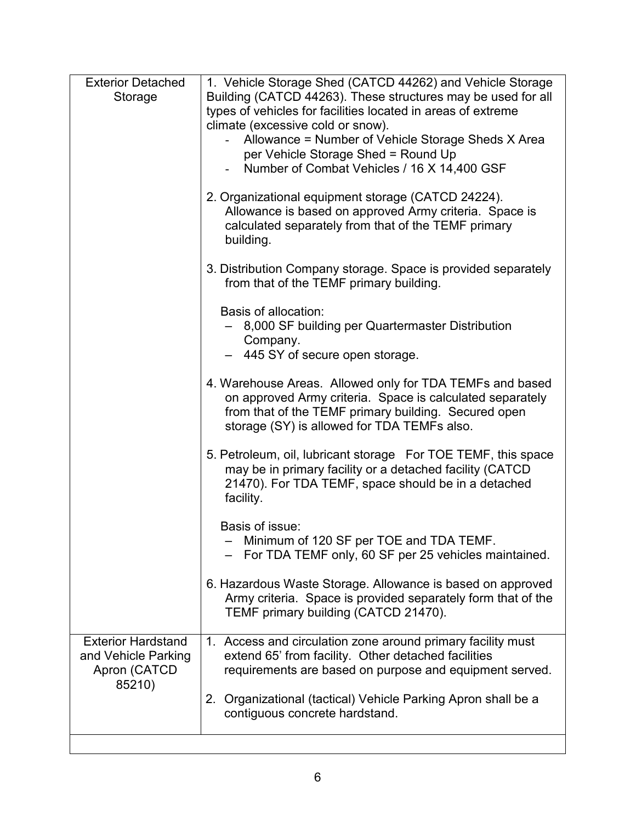| <b>Exterior Detached</b>  | 1. Vehicle Storage Shed (CATCD 44262) and Vehicle Storage                                                                                                                                                                    |
|---------------------------|------------------------------------------------------------------------------------------------------------------------------------------------------------------------------------------------------------------------------|
| Storage                   | Building (CATCD 44263). These structures may be used for all                                                                                                                                                                 |
|                           | types of vehicles for facilities located in areas of extreme                                                                                                                                                                 |
|                           | climate (excessive cold or snow).                                                                                                                                                                                            |
|                           | Allowance = Number of Vehicle Storage Sheds X Area                                                                                                                                                                           |
|                           | per Vehicle Storage Shed = Round Up                                                                                                                                                                                          |
|                           | Number of Combat Vehicles / 16 X 14,400 GSF                                                                                                                                                                                  |
|                           | 2. Organizational equipment storage (CATCD 24224).<br>Allowance is based on approved Army criteria. Space is<br>calculated separately from that of the TEMF primary<br>building.                                             |
|                           | 3. Distribution Company storage. Space is provided separately<br>from that of the TEMF primary building.                                                                                                                     |
|                           | Basis of allocation:                                                                                                                                                                                                         |
|                           | 8,000 SF building per Quartermaster Distribution                                                                                                                                                                             |
|                           | Company.<br>- 445 SY of secure open storage.                                                                                                                                                                                 |
|                           |                                                                                                                                                                                                                              |
|                           | 4. Warehouse Areas. Allowed only for TDA TEMFs and based<br>on approved Army criteria. Space is calculated separately<br>from that of the TEMF primary building. Secured open<br>storage (SY) is allowed for TDA TEMFs also. |
|                           | 5. Petroleum, oil, lubricant storage For TOE TEMF, this space<br>may be in primary facility or a detached facility (CATCD<br>21470). For TDA TEMF, space should be in a detached<br>facility.                                |
|                           | Basis of issue:                                                                                                                                                                                                              |
|                           | - Minimum of 120 SF per TOE and TDA TEMF.<br>For TDA TEMF only, 60 SF per 25 vehicles maintained.                                                                                                                            |
|                           | 6. Hazardous Waste Storage. Allowance is based on approved<br>Army criteria. Space is provided separately form that of the<br>TEMF primary building (CATCD 21470).                                                           |
| <b>Exterior Hardstand</b> | 1. Access and circulation zone around primary facility must                                                                                                                                                                  |
| and Vehicle Parking       | extend 65' from facility. Other detached facilities                                                                                                                                                                          |
| Apron (CATCD              | requirements are based on purpose and equipment served.                                                                                                                                                                      |
| 85210)                    | 2. Organizational (tactical) Vehicle Parking Apron shall be a<br>contiguous concrete hardstand.                                                                                                                              |
|                           |                                                                                                                                                                                                                              |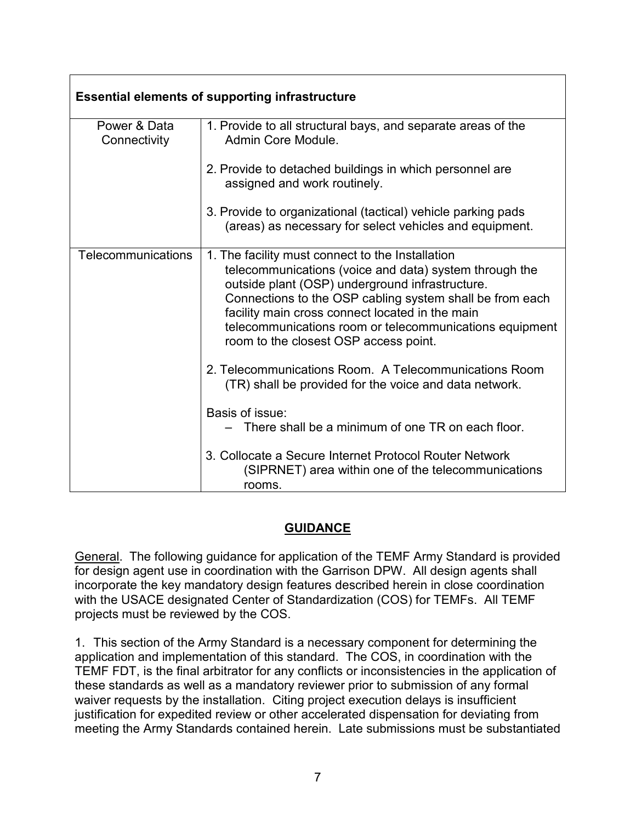| <b>Essential elements of supporting infrastructure</b> |                                                                                                                                                                                                                                                                                                                                                                                  |  |
|--------------------------------------------------------|----------------------------------------------------------------------------------------------------------------------------------------------------------------------------------------------------------------------------------------------------------------------------------------------------------------------------------------------------------------------------------|--|
| Power & Data<br>Connectivity                           | 1. Provide to all structural bays, and separate areas of the<br>Admin Core Module.                                                                                                                                                                                                                                                                                               |  |
|                                                        | 2. Provide to detached buildings in which personnel are<br>assigned and work routinely.                                                                                                                                                                                                                                                                                          |  |
|                                                        | 3. Provide to organizational (tactical) vehicle parking pads<br>(areas) as necessary for select vehicles and equipment.                                                                                                                                                                                                                                                          |  |
| Telecommunications                                     | 1. The facility must connect to the Installation<br>telecommunications (voice and data) system through the<br>outside plant (OSP) underground infrastructure.<br>Connections to the OSP cabling system shall be from each<br>facility main cross connect located in the main<br>telecommunications room or telecommunications equipment<br>room to the closest OSP access point. |  |
|                                                        | 2. Telecommunications Room. A Telecommunications Room<br>(TR) shall be provided for the voice and data network.                                                                                                                                                                                                                                                                  |  |
|                                                        | Basis of issue:<br>There shall be a minimum of one TR on each floor.                                                                                                                                                                                                                                                                                                             |  |
|                                                        | 3. Collocate a Secure Internet Protocol Router Network<br>(SIPRNET) area within one of the telecommunications<br>rooms.                                                                                                                                                                                                                                                          |  |

#### **GUIDANCE**

General. The following guidance for application of the TEMF Army Standard is provided for design agent use in coordination with the Garrison DPW. All design agents shall incorporate the key mandatory design features described herein in close coordination with the USACE designated Center of Standardization (COS) for TEMFs. All TEMF projects must be reviewed by the COS.

1. This section of the Army Standard is a necessary component for determining the application and implementation of this standard. The COS, in coordination with the TEMF FDT, is the final arbitrator for any conflicts or inconsistencies in the application of these standards as well as a mandatory reviewer prior to submission of any formal waiver requests by the installation. Citing project execution delays is insufficient justification for expedited review or other accelerated dispensation for deviating from meeting the Army Standards contained herein. Late submissions must be substantiated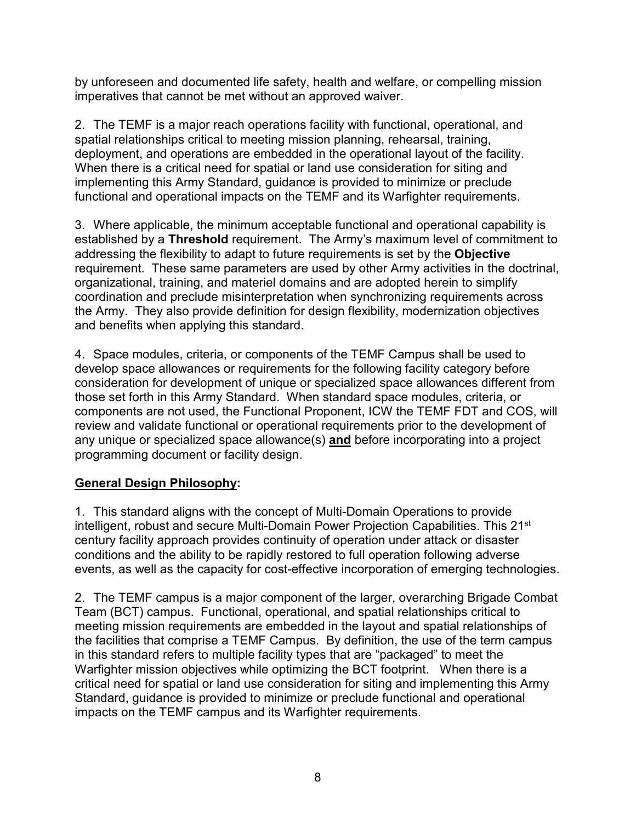by unforeseen and documented life safety, health and welfare, or compelling mission imperatives that cannot be met without an approved waiver.

2. The TEMF is a major reach operations facility with functional, operational, and spatial relationships critical to meeting mission planning, rehearsal, training, deployment, and operations are embedded in the operational layout of the facility. When there is a critical need for spatial or land use consideration for siting and implementing this Army Standard, guidance is provided to minimize or preclude functional and operational impacts on the TEMF and its Warfighter requirements.

3. Where applicable, the minimum acceptable functional and operational capability is established by a **Threshold** requirement. The Army's maximum level of commitment to addressing the flexibility to adapt to future requirements is set by the **Objective** requirement. These same parameters are used by other Army activities in the doctrinal, organizational, training, and materiel domains and are adopted herein to simplify coordination and preclude misinterpretation when synchronizing requirements across the Army. They also provide definition for design flexibility, modernization objectives and benefits when applying this standard.

4. Space modules, criteria, or components of the TEMF Campus shall be used to develop space allowances or requirements for the following facility category before consideration for development of unique or specialized space allowances different from those set forth in this Army Standard. When standard space modules, criteria, or components are not used, the Functional Proponent, ICW the TEMF FDT and COS, will review and validate functional or operational requirements prior to the development of any unique or specialized space allowance(s) **and** before incorporating into a project programming document or facility design.

## **General Design Philosophy:**

1. This standard aligns with the concept of Multi-Domain Operations to provide intelligent, robust and secure Multi-Domain Power Projection Capabilities. This 21<sup>st</sup> century facility approach provides continuity of operation under attack or disaster conditions and the ability to be rapidly restored to full operation following adverse events, as well as the capacity for cost-effective incorporation of emerging technologies.

2. The TEMF campus is a major component of the larger, overarching Brigade Combat Team (BCT) campus. Functional, operational, and spatial relationships critical to meeting mission requirements are embedded in the layout and spatial relationships of the facilities that comprise a TEMF Campus. By definition, the use of the term campus in this standard refers to multiple facility types that are "packaged" to meet the Warfighter mission objectives while optimizing the BCT footprint. When there is a critical need for spatial or land use consideration for siting and implementing this Army Standard, guidance is provided to minimize or preclude functional and operational impacts on the TEMF campus and its Warfighter requirements.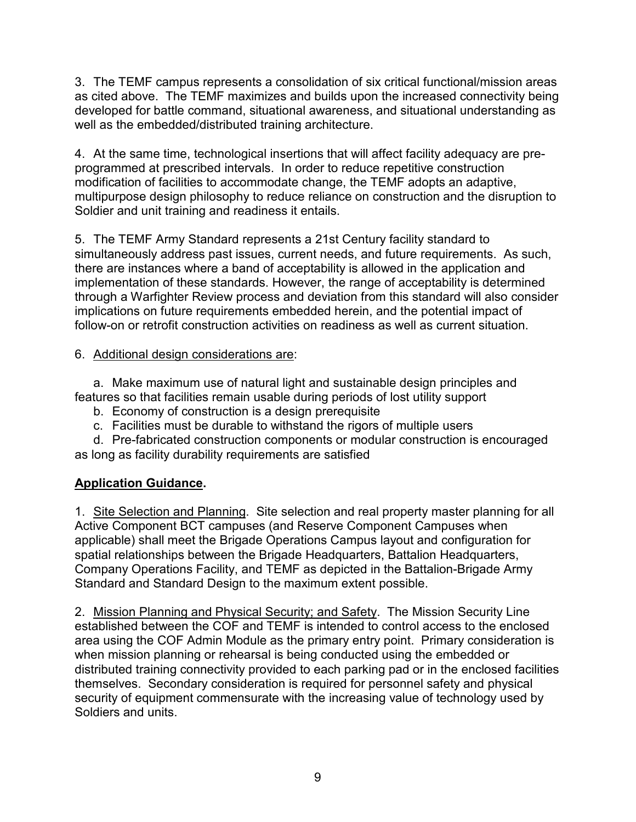3. The TEMF campus represents a consolidation of six critical functional/mission areas as cited above. The TEMF maximizes and builds upon the increased connectivity being developed for battle command, situational awareness, and situational understanding as well as the embedded/distributed training architecture.

4. At the same time, technological insertions that will affect facility adequacy are preprogrammed at prescribed intervals. In order to reduce repetitive construction modification of facilities to accommodate change, the TEMF adopts an adaptive, multipurpose design philosophy to reduce reliance on construction and the disruption to Soldier and unit training and readiness it entails.

5. The TEMF Army Standard represents a 21st Century facility standard to simultaneously address past issues, current needs, and future requirements. As such, there are instances where a band of acceptability is allowed in the application and implementation of these standards. However, the range of acceptability is determined through a Warfighter Review process and deviation from this standard will also consider implications on future requirements embedded herein, and the potential impact of follow-on or retrofit construction activities on readiness as well as current situation.

### 6. Additional design considerations are:

a. Make maximum use of natural light and sustainable design principles and features so that facilities remain usable during periods of lost utility support

- b. Economy of construction is a design prerequisite
- c. Facilities must be durable to withstand the rigors of multiple users

d. Pre-fabricated construction components or modular construction is encouraged as long as facility durability requirements are satisfied

## **Application Guidance.**

1. Site Selection and Planning. Site selection and real property master planning for all Active Component BCT campuses (and Reserve Component Campuses when applicable) shall meet the Brigade Operations Campus layout and configuration for spatial relationships between the Brigade Headquarters, Battalion Headquarters, Company Operations Facility, and TEMF as depicted in the Battalion-Brigade Army Standard and Standard Design to the maximum extent possible.

2. Mission Planning and Physical Security; and Safety. The Mission Security Line established between the COF and TEMF is intended to control access to the enclosed area using the COF Admin Module as the primary entry point. Primary consideration is when mission planning or rehearsal is being conducted using the embedded or distributed training connectivity provided to each parking pad or in the enclosed facilities themselves. Secondary consideration is required for personnel safety and physical security of equipment commensurate with the increasing value of technology used by Soldiers and units.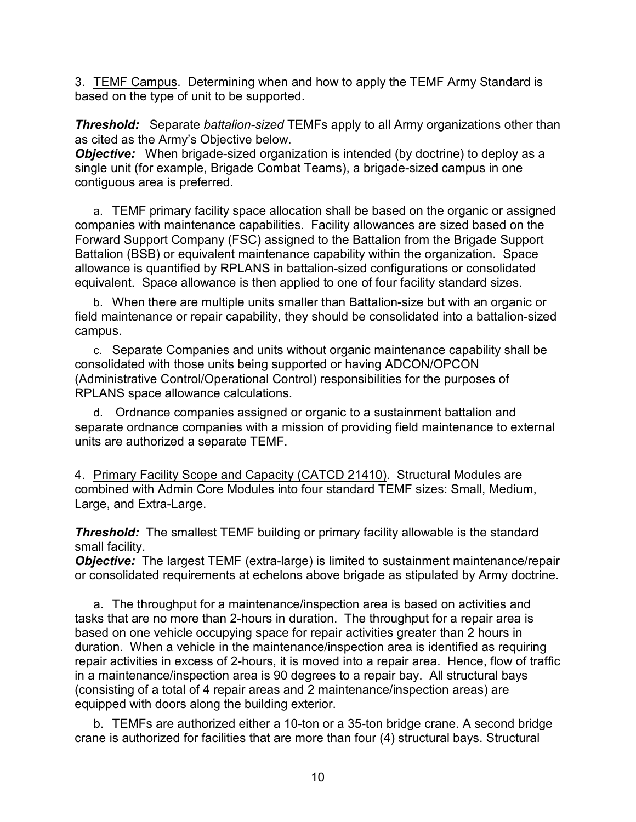3. TEMF Campus. Determining when and how to apply the TEMF Army Standard is based on the type of unit to be supported.

*Threshold:*Separate *battalion-sized* TEMFs apply to all Army organizations other than as cited as the Army's Objective below.

**Objective:** When brigade-sized organization is intended (by doctrine) to deploy as a single unit (for example, Brigade Combat Teams), a brigade-sized campus in one contiguous area is preferred.

a. TEMF primary facility space allocation shall be based on the organic or assigned companies with maintenance capabilities. Facility allowances are sized based on the Forward Support Company (FSC) assigned to the Battalion from the Brigade Support Battalion (BSB) or equivalent maintenance capability within the organization. Space allowance is quantified by RPLANS in battalion-sized configurations or consolidated equivalent. Space allowance is then applied to one of four facility standard sizes.

b. When there are multiple units smaller than Battalion-size but with an organic or field maintenance or repair capability, they should be consolidated into a battalion-sized campus.

c. Separate Companies and units without organic maintenance capability shall be consolidated with those units being supported or having ADCON/OPCON (Administrative Control/Operational Control) responsibilities for the purposes of RPLANS space allowance calculations.

d. Ordnance companies assigned or organic to a sustainment battalion and separate ordnance companies with a mission of providing field maintenance to external units are authorized a separate TEMF.

4. Primary Facility Scope and Capacity (CATCD 21410). Structural Modules are combined with Admin Core Modules into four standard TEMF sizes: Small, Medium, Large, and Extra-Large.

**Threshold:** The smallest TEMF building or primary facility allowable is the standard small facility.

*Objective:* The largest TEMF (extra-large) is limited to sustainment maintenance/repair or consolidated requirements at echelons above brigade as stipulated by Army doctrine.

a. The throughput for a maintenance/inspection area is based on activities and tasks that are no more than 2-hours in duration. The throughput for a repair area is based on one vehicle occupying space for repair activities greater than 2 hours in duration. When a vehicle in the maintenance/inspection area is identified as requiring repair activities in excess of 2-hours, it is moved into a repair area. Hence, flow of traffic in a maintenance/inspection area is 90 degrees to a repair bay. All structural bays (consisting of a total of 4 repair areas and 2 maintenance/inspection areas) are equipped with doors along the building exterior.

b. TEMFs are authorized either a 10-ton or a 35-ton bridge crane. A second bridge crane is authorized for facilities that are more than four (4) structural bays. Structural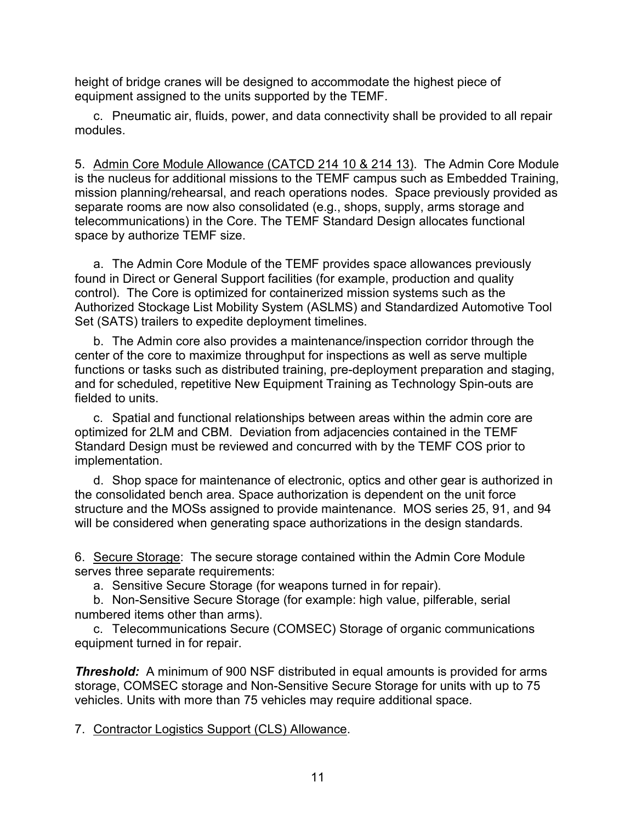height of bridge cranes will be designed to accommodate the highest piece of equipment assigned to the units supported by the TEMF.

c. Pneumatic air, fluids, power, and data connectivity shall be provided to all repair modules.

5. Admin Core Module Allowance (CATCD 214 10 & 214 13). The Admin Core Module is the nucleus for additional missions to the TEMF campus such as Embedded Training, mission planning/rehearsal, and reach operations nodes. Space previously provided as separate rooms are now also consolidated (e.g., shops, supply, arms storage and telecommunications) in the Core. The TEMF Standard Design allocates functional space by authorize TEMF size.

a. The Admin Core Module of the TEMF provides space allowances previously found in Direct or General Support facilities (for example, production and quality control). The Core is optimized for containerized mission systems such as the Authorized Stockage List Mobility System (ASLMS) and Standardized Automotive Tool Set (SATS) trailers to expedite deployment timelines.

b. The Admin core also provides a maintenance/inspection corridor through the center of the core to maximize throughput for inspections as well as serve multiple functions or tasks such as distributed training, pre-deployment preparation and staging, and for scheduled, repetitive New Equipment Training as Technology Spin-outs are fielded to units.

c. Spatial and functional relationships between areas within the admin core are optimized for 2LM and CBM. Deviation from adjacencies contained in the TEMF Standard Design must be reviewed and concurred with by the TEMF COS prior to implementation.

d. Shop space for maintenance of electronic, optics and other gear is authorized in the consolidated bench area. Space authorization is dependent on the unit force structure and the MOSs assigned to provide maintenance. MOS series 25, 91, and 94 will be considered when generating space authorizations in the design standards.

6. Secure Storage: The secure storage contained within the Admin Core Module serves three separate requirements:

a. Sensitive Secure Storage (for weapons turned in for repair).

b. Non-Sensitive Secure Storage (for example: high value, pilferable, serial numbered items other than arms).

c. Telecommunications Secure (COMSEC) Storage of organic communications equipment turned in for repair.

**Threshold:** A minimum of 900 NSF distributed in equal amounts is provided for arms storage, COMSEC storage and Non-Sensitive Secure Storage for units with up to 75 vehicles. Units with more than 75 vehicles may require additional space.

7. Contractor Logistics Support (CLS) Allowance.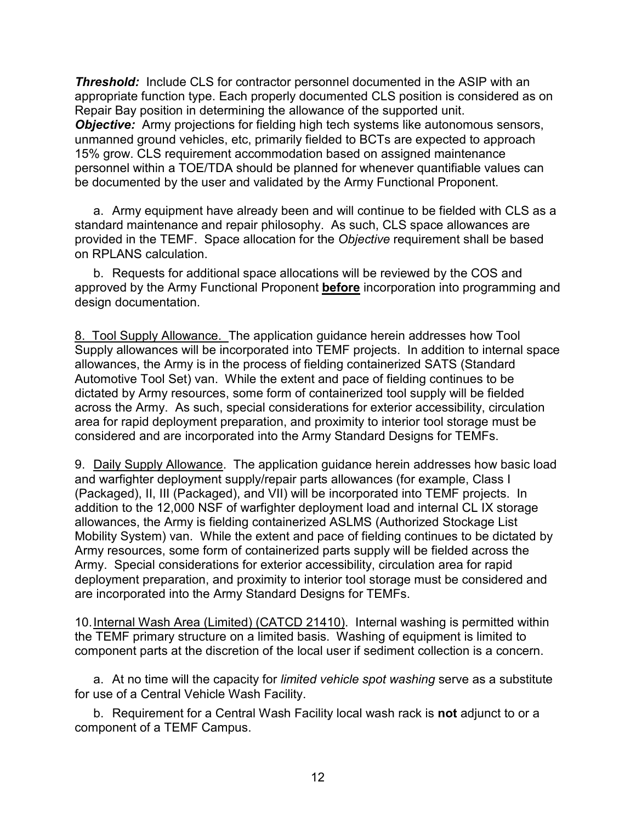**Threshold:** Include CLS for contractor personnel documented in the ASIP with an appropriate function type. Each properly documented CLS position is considered as on Repair Bay position in determining the allowance of the supported unit. *Objective:* Army projections for fielding high tech systems like autonomous sensors, unmanned ground vehicles, etc, primarily fielded to BCTs are expected to approach 15% grow. CLS requirement accommodation based on assigned maintenance personnel within a TOE/TDA should be planned for whenever quantifiable values can be documented by the user and validated by the Army Functional Proponent.

a. Army equipment have already been and will continue to be fielded with CLS as a standard maintenance and repair philosophy. As such, CLS space allowances are provided in the TEMF. Space allocation for the *Objective* requirement shall be based on RPLANS calculation.

b. Requests for additional space allocations will be reviewed by the COS and approved by the Army Functional Proponent **before** incorporation into programming and design documentation.

8. Tool Supply Allowance. The application guidance herein addresses how Tool Supply allowances will be incorporated into TEMF projects. In addition to internal space allowances, the Army is in the process of fielding containerized SATS (Standard Automotive Tool Set) van. While the extent and pace of fielding continues to be dictated by Army resources, some form of containerized tool supply will be fielded across the Army. As such, special considerations for exterior accessibility, circulation area for rapid deployment preparation, and proximity to interior tool storage must be considered and are incorporated into the Army Standard Designs for TEMFs.

9. Daily Supply Allowance. The application guidance herein addresses how basic load and warfighter deployment supply/repair parts allowances (for example, Class I (Packaged), II, III (Packaged), and VII) will be incorporated into TEMF projects. In addition to the 12,000 NSF of warfighter deployment load and internal CL IX storage allowances, the Army is fielding containerized ASLMS (Authorized Stockage List Mobility System) van. While the extent and pace of fielding continues to be dictated by Army resources, some form of containerized parts supply will be fielded across the Army. Special considerations for exterior accessibility, circulation area for rapid deployment preparation, and proximity to interior tool storage must be considered and are incorporated into the Army Standard Designs for TEMFs.

10.Internal Wash Area (Limited) (CATCD 21410). Internal washing is permitted within the TEMF primary structure on a limited basis. Washing of equipment is limited to component parts at the discretion of the local user if sediment collection is a concern.

a. At no time will the capacity for *limited vehicle spot washing* serve as a substitute for use of a Central Vehicle Wash Facility.

b. Requirement for a Central Wash Facility local wash rack is **not** adjunct to or a component of a TEMF Campus.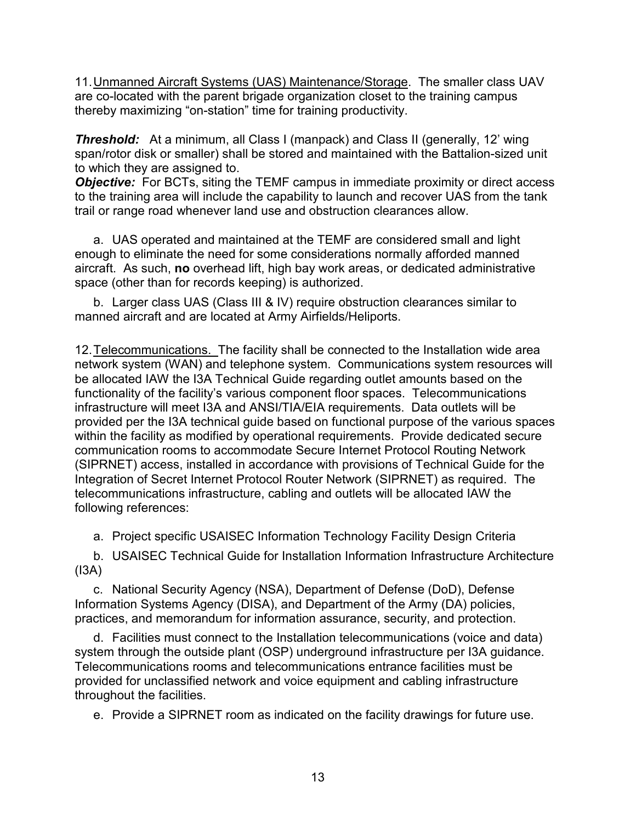11. Unmanned Aircraft Systems (UAS) Maintenance/Storage. The smaller class UAV are co-located with the parent brigade organization closet to the training campus thereby maximizing "on-station" time for training productivity.

**Threshold:** At a minimum, all Class I (manpack) and Class II (generally, 12' wing span/rotor disk or smaller) shall be stored and maintained with the Battalion-sized unit to which they are assigned to.

**Objective:** For BCTs, siting the TEMF campus in immediate proximity or direct access to the training area will include the capability to launch and recover UAS from the tank trail or range road whenever land use and obstruction clearances allow.

a. UAS operated and maintained at the TEMF are considered small and light enough to eliminate the need for some considerations normally afforded manned aircraft. As such, **no** overhead lift, high bay work areas, or dedicated administrative space (other than for records keeping) is authorized.

b. Larger class UAS (Class III & IV) require obstruction clearances similar to manned aircraft and are located at Army Airfields/Heliports.

12.Telecommunications. The facility shall be connected to the Installation wide area network system (WAN) and telephone system. Communications system resources will be allocated IAW the I3A Technical Guide regarding outlet amounts based on the functionality of the facility's various component floor spaces. Telecommunications infrastructure will meet I3A and ANSI/TIA/EIA requirements. Data outlets will be provided per the I3A technical guide based on functional purpose of the various spaces within the facility as modified by operational requirements. Provide dedicated secure communication rooms to accommodate Secure Internet Protocol Routing Network (SIPRNET) access, installed in accordance with provisions of Technical Guide for the Integration of Secret Internet Protocol Router Network (SIPRNET) as required. The telecommunications infrastructure, cabling and outlets will be allocated IAW the following references:

a. Project specific USAISEC Information Technology Facility Design Criteria

b. USAISEC Technical Guide for Installation Information Infrastructure Architecture (I3A)

c. National Security Agency (NSA), Department of Defense (DoD), Defense Information Systems Agency (DISA), and Department of the Army (DA) policies, practices, and memorandum for information assurance, security, and protection.

d. Facilities must connect to the Installation telecommunications (voice and data) system through the outside plant (OSP) underground infrastructure per I3A guidance. Telecommunications rooms and telecommunications entrance facilities must be provided for unclassified network and voice equipment and cabling infrastructure throughout the facilities.

e. Provide a SIPRNET room as indicated on the facility drawings for future use.